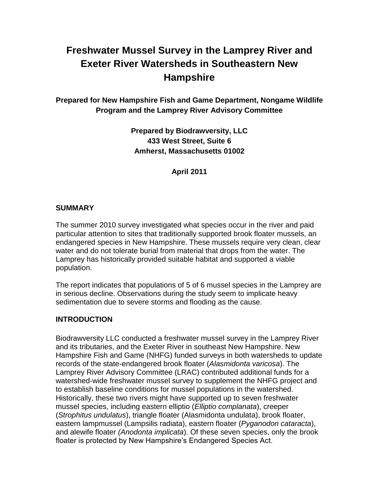# **Freshwater Mussel Survey in the Lamprey River and Exeter River Watersheds in Southeastern New Hampshire**

**Prepared for New Hampshire Fish and Game Department, Nongame Wildlife Program and the Lamprey River Advisory Committee**

> **Prepared by Biodrawversity, LLC 433 West Street, Suite 6 Amherst, Massachusetts 01002**

> > **April 2011**

#### **SUMMARY**

The summer 2010 survey investigated what species occur in the river and paid particular attention to sites that traditionally supported brook floater mussels, an endangered species in New Hampshire. These mussels require very clean, clear water and do not tolerate burial from material that drops from the water. The Lamprey has historically provided suitable habitat and supported a viable population.

The report indicates that populations of 5 of 6 mussel species in the Lamprey are in serious decline. Observations during the study seem to implicate heavy sedimentation due to severe storms and flooding as the cause.

### **INTRODUCTION**

Biodrawversity LLC conducted a freshwater mussel survey in the Lamprey River and its tributaries, and the Exeter River in southeast New Hampshire. New Hampshire Fish and Game (NHFG) funded surveys in both watersheds to update records of the state-endangered brook floater (*Alasmidonta varicosa*). The Lamprey River Advisory Committee (LRAC) contributed additional funds for a watershed-wide freshwater mussel survey to supplement the NHFG project and to establish baseline conditions for mussel populations in the watershed. Historically, these two rivers might have supported up to seven freshwater mussel species, including eastern elliptio (*Elliptio complanata*), creeper (*Strophitus undulatus*), triangle floater (Alasmidonta undulata), brook floater, eastern lampmussel (Lampsilis radiata), eastern floater (*Pyganodon cataracta*), and alewife floater *(Anodonta implicata*). Of these seven species, only the brook floater is protected by New Hampshire's Endangered Species Act.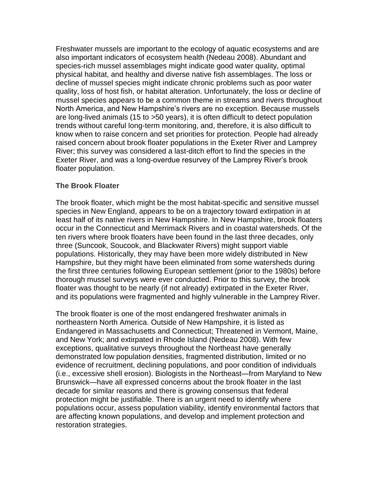Freshwater mussels are important to the ecology of aquatic ecosystems and are also important indicators of ecosystem health (Nedeau 2008). Abundant and species-rich mussel assemblages might indicate good water quality, optimal physical habitat, and healthy and diverse native fish assemblages. The loss or decline of mussel species might indicate chronic problems such as poor water quality, loss of host fish, or habitat alteration. Unfortunately, the loss or decline of mussel species appears to be a common theme in streams and rivers throughout North America, and New Hampshire's rivers are no exception. Because mussels are long-lived animals (15 to >50 years), it is often difficult to detect population trends without careful long-term monitoring, and, therefore, it is also difficult to know when to raise concern and set priorities for protection. People had already raised concern about brook floater populations in the Exeter River and Lamprey River; this survey was considered a last-ditch effort to find the species in the Exeter River, and was a long-overdue resurvey of the Lamprey River's brook floater population.

#### **The Brook Floater**

The brook floater, which might be the most habitat-specific and sensitive mussel species in New England, appears to be on a trajectory toward extirpation in at least half of its native rivers in New Hampshire. In New Hampshire, brook floaters occur in the Connecticut and Merrimack Rivers and in coastal watersheds. Of the ten rivers where brook floaters have been found in the last three decades, only three (Suncook, Soucook, and Blackwater Rivers) might support viable populations. Historically, they may have been more widely distributed in New Hampshire, but they might have been eliminated from some watersheds during the first three centuries following European settlement (prior to the 1980s) before thorough mussel surveys were ever conducted. Prior to this survey, the brook floater was thought to be nearly (if not already) extirpated in the Exeter River, and its populations were fragmented and highly vulnerable in the Lamprey River.

The brook floater is one of the most endangered freshwater animals in northeastern North America. Outside of New Hampshire, it is listed as Endangered in Massachusetts and Connecticut; Threatened in Vermont, Maine, and New York; and extirpated in Rhode Island (Nedeau 2008). With few exceptions, qualitative surveys throughout the Northeast have generally demonstrated low population densities, fragmented distribution, limited or no evidence of recruitment, declining populations, and poor condition of individuals (i.e., excessive shell erosion). Biologists in the Northeast—from Maryland to New Brunswick—have all expressed concerns about the brook floater in the last decade for similar reasons and there is growing consensus that federal protection might be justifiable. There is an urgent need to identify where populations occur, assess population viability, identify environmental factors that are affecting known populations, and develop and implement protection and restoration strategies.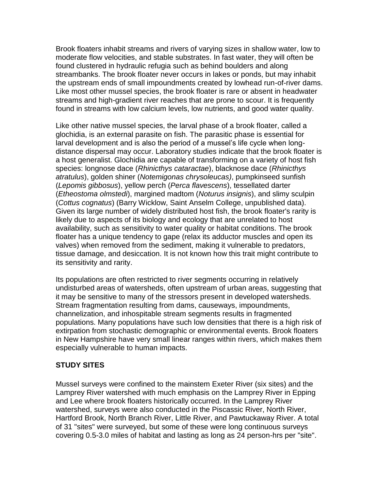Brook floaters inhabit streams and rivers of varying sizes in shallow water, low to moderate flow velocities, and stable substrates. In fast water, they will often be found clustered in hydraulic refugia such as behind boulders and along streambanks. The brook floater never occurs in lakes or ponds, but may inhabit the upstream ends of small impoundments created by lowhead run-of-river dams. Like most other mussel species, the brook floater is rare or absent in headwater streams and high-gradient river reaches that are prone to scour. It is frequently found in streams with low calcium levels, low nutrients, and good water quality.

Like other native mussel species, the larval phase of a brook floater, called a glochidia, is an external parasite on fish. The parasitic phase is essential for larval development and is also the period of a mussel's life cycle when longdistance dispersal may occur. Laboratory studies indicate that the brook floater is a host generalist. Glochidia are capable of transforming on a variety of host fish species: longnose dace (*Rhinicthys cataractae*), blacknose dace (*Rhinicthys atratulus*), golden shiner (*Notemigonas chrysoleucas)*, pumpkinseed sunfish (*Lepomis gibbosus*), yellow perch (*Perca flavescens*), tessellated darter (*Etheostoma olmstedi*), margined madtom (*Noturus insignis*), and slimy sculpin (*Cottus cognatus*) (Barry Wicklow, Saint Anselm College, unpublished data). Given its large number of widely distributed host fish, the brook floater's rarity is likely due to aspects of its biology and ecology that are unrelated to host availability, such as sensitivity to water quality or habitat conditions. The brook floater has a unique tendency to gape (relax its adductor muscles and open its valves) when removed from the sediment, making it vulnerable to predators, tissue damage, and desiccation. It is not known how this trait might contribute to its sensitivity and rarity.

Its populations are often restricted to river segments occurring in relatively undisturbed areas of watersheds, often upstream of urban areas, suggesting that it may be sensitive to many of the stressors present in developed watersheds. Stream fragmentation resulting from dams, causeways, impoundments, channelization, and inhospitable stream segments results in fragmented populations. Many populations have such low densities that there is a high risk of extirpation from stochastic demographic or environmental events. Brook floaters in New Hampshire have very small linear ranges within rivers, which makes them especially vulnerable to human impacts.

### **STUDY SITES**

Mussel surveys were confined to the mainstem Exeter River (six sites) and the Lamprey River watershed with much emphasis on the Lamprey River in Epping and Lee where brook floaters historically occurred. In the Lamprey River watershed, surveys were also conducted in the Piscassic River, North River, Hartford Brook, North Branch River, Little River, and Pawtuckaway River. A total of 31 "sites" were surveyed, but some of these were long continuous surveys covering 0.5-3.0 miles of habitat and lasting as long as 24 person-hrs per "site".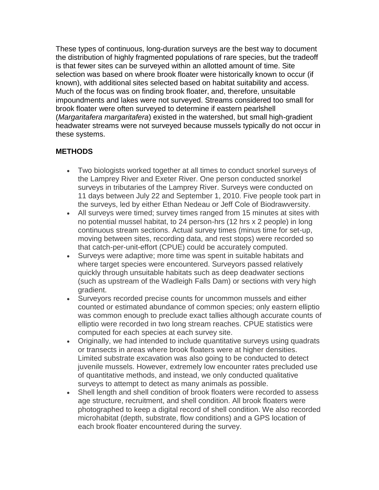These types of continuous, long-duration surveys are the best way to document the distribution of highly fragmented populations of rare species, but the tradeoff is that fewer sites can be surveyed within an allotted amount of time. Site selection was based on where brook floater were historically known to occur (if known), with additional sites selected based on habitat suitability and access. Much of the focus was on finding brook floater, and, therefore, unsuitable impoundments and lakes were not surveyed. Streams considered too small for brook floater were often surveyed to determine if eastern pearlshell (*Margaritafera margaritafera*) existed in the watershed, but small high-gradient headwater streams were not surveyed because mussels typically do not occur in these systems.

## **METHODS**

- Two biologists worked together at all times to conduct snorkel surveys of the Lamprey River and Exeter River. One person conducted snorkel surveys in tributaries of the Lamprey River. Surveys were conducted on 11 days between July 22 and September 1, 2010. Five people took part in the surveys, led by either Ethan Nedeau or Jeff Cole of Biodrawversity.
- All surveys were timed; survey times ranged from 15 minutes at sites with no potential mussel habitat, to 24 person-hrs (12 hrs x 2 people) in long continuous stream sections. Actual survey times (minus time for set-up, moving between sites, recording data, and rest stops) were recorded so that catch-per-unit-effort (CPUE) could be accurately computed.
- Surveys were adaptive; more time was spent in suitable habitats and where target species were encountered. Surveyors passed relatively quickly through unsuitable habitats such as deep deadwater sections (such as upstream of the Wadleigh Falls Dam) or sections with very high gradient.
- Surveyors recorded precise counts for uncommon mussels and either counted or estimated abundance of common species; only eastern elliptio was common enough to preclude exact tallies although accurate counts of elliptio were recorded in two long stream reaches. CPUE statistics were computed for each species at each survey site.
- Originally, we had intended to include quantitative surveys using quadrats or transects in areas where brook floaters were at higher densities. Limited substrate excavation was also going to be conducted to detect juvenile mussels. However, extremely low encounter rates precluded use of quantitative methods, and instead, we only conducted qualitative surveys to attempt to detect as many animals as possible.
- Shell length and shell condition of brook floaters were recorded to assess age structure, recruitment, and shell condition. All brook floaters were photographed to keep a digital record of shell condition. We also recorded microhabitat (depth, substrate, flow conditions) and a GPS location of each brook floater encountered during the survey.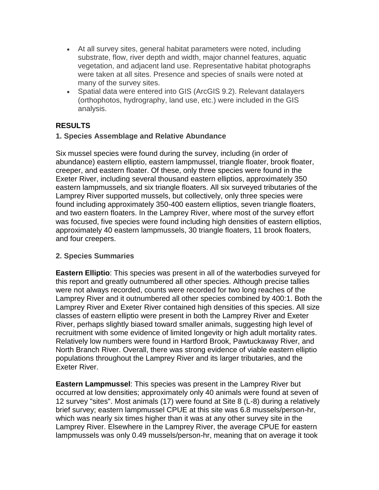- At all survey sites, general habitat parameters were noted, including substrate, flow, river depth and width, major channel features, aquatic vegetation, and adjacent land use. Representative habitat photographs were taken at all sites. Presence and species of snails were noted at many of the survey sites.
- Spatial data were entered into GIS (ArcGIS 9.2). Relevant datalayers (orthophotos, hydrography, land use, etc.) were included in the GIS analysis.

## **RESULTS**

#### **1. Species Assemblage and Relative Abundance**

Six mussel species were found during the survey, including (in order of abundance) eastern elliptio, eastern lampmussel, triangle floater, brook floater, creeper, and eastern floater. Of these, only three species were found in the Exeter River, including several thousand eastern elliptios, approximately 350 eastern lampmussels, and six triangle floaters. All six surveyed tributaries of the Lamprey River supported mussels, but collectively, only three species were found including approximately 350-400 eastern elliptios, seven triangle floaters, and two eastern floaters. In the Lamprey River, where most of the survey effort was focused, five species were found including high densities of eastern elliptios, approximately 40 eastern lampmussels, 30 triangle floaters, 11 brook floaters, and four creepers.

#### **2. Species Summaries**

**Eastern Elliptio**: This species was present in all of the waterbodies surveyed for this report and greatly outnumbered all other species. Although precise tallies were not always recorded, counts were recorded for two long reaches of the Lamprey River and it outnumbered all other species combined by 400:1. Both the Lamprey River and Exeter River contained high densities of this species. All size classes of eastern elliptio were present in both the Lamprey River and Exeter River, perhaps slightly biased toward smaller animals, suggesting high level of recruitment with some evidence of limited longevity or high adult mortality rates. Relatively low numbers were found in Hartford Brook, Pawtuckaway River, and North Branch River. Overall, there was strong evidence of viable eastern elliptio populations throughout the Lamprey River and its larger tributaries, and the Exeter River.

**Eastern Lampmussel**: This species was present in the Lamprey River but occurred at low densities; approximately only 40 animals were found at seven of 12 survey "sites". Most animals (17) were found at Site 8 (L-8) during a relatively brief survey; eastern lampmussel CPUE at this site was 6.8 mussels/person-hr, which was nearly six times higher than it was at any other survey site in the Lamprey River. Elsewhere in the Lamprey River, the average CPUE for eastern lampmussels was only 0.49 mussels/person-hr, meaning that on average it took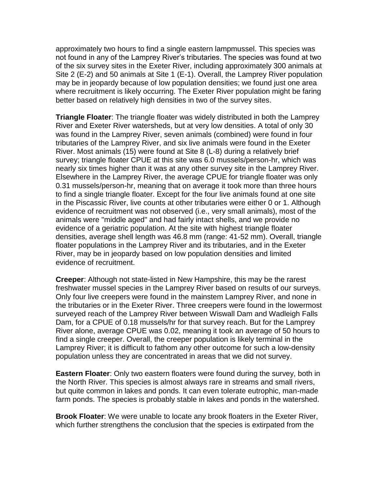approximately two hours to find a single eastern lampmussel. This species was not found in any of the Lamprey River's tributaries. The species was found at two of the six survey sites in the Exeter River, including approximately 300 animals at Site 2 (E-2) and 50 animals at Site 1 (E-1). Overall, the Lamprey River population may be in jeopardy because of low population densities; we found just one area where recruitment is likely occurring. The Exeter River population might be faring better based on relatively high densities in two of the survey sites.

**Triangle Floater**: The triangle floater was widely distributed in both the Lamprey River and Exeter River watersheds, but at very low densities. A total of only 30 was found in the Lamprey River, seven animals (combined) were found in four tributaries of the Lamprey River, and six live animals were found in the Exeter River. Most animals (15) were found at Site 8 (L-8) during a relatively brief survey; triangle floater CPUE at this site was 6.0 mussels/person-hr, which was nearly six times higher than it was at any other survey site in the Lamprey River. Elsewhere in the Lamprey River, the average CPUE for triangle floater was only 0.31 mussels/person-hr, meaning that on average it took more than three hours to find a single triangle floater. Except for the four live animals found at one site in the Piscassic River, live counts at other tributaries were either 0 or 1. Although evidence of recruitment was not observed (i.e., very small animals), most of the animals were "middle aged" and had fairly intact shells, and we provide no evidence of a geriatric population. At the site with highest triangle floater densities, average shell length was 46.8 mm (range: 41-52 mm). Overall, triangle floater populations in the Lamprey River and its tributaries, and in the Exeter River, may be in jeopardy based on low population densities and limited evidence of recruitment.

**Creeper**: Although not state-listed in New Hampshire, this may be the rarest freshwater mussel species in the Lamprey River based on results of our surveys. Only four live creepers were found in the mainstem Lamprey River, and none in the tributaries or in the Exeter River. Three creepers were found in the lowermost surveyed reach of the Lamprey River between Wiswall Dam and Wadleigh Falls Dam, for a CPUE of 0.18 mussels/hr for that survey reach. But for the Lamprey River alone, average CPUE was 0.02, meaning it took an average of 50 hours to find a single creeper. Overall, the creeper population is likely terminal in the Lamprey River; it is difficult to fathom any other outcome for such a low-density population unless they are concentrated in areas that we did not survey.

**Eastern Floater**: Only two eastern floaters were found during the survey, both in the North River. This species is almost always rare in streams and small rivers, but quite common in lakes and ponds. It can even tolerate eutrophic, man-made farm ponds. The species is probably stable in lakes and ponds in the watershed.

**Brook Floater**: We were unable to locate any brook floaters in the Exeter River, which further strengthens the conclusion that the species is extirpated from the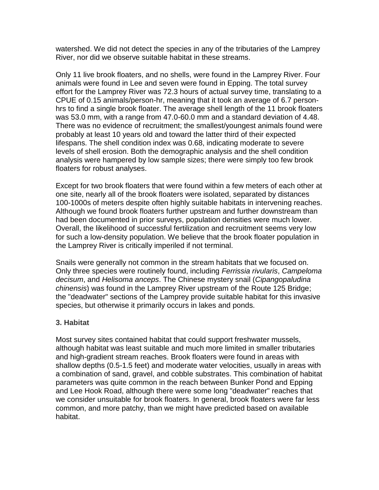watershed. We did not detect the species in any of the tributaries of the Lamprey River, nor did we observe suitable habitat in these streams.

Only 11 live brook floaters, and no shells, were found in the Lamprey River. Four animals were found in Lee and seven were found in Epping. The total survey effort for the Lamprey River was 72.3 hours of actual survey time, translating to a CPUE of 0.15 animals/person-hr, meaning that it took an average of 6.7 personhrs to find a single brook floater. The average shell length of the 11 brook floaters was 53.0 mm, with a range from 47.0-60.0 mm and a standard deviation of 4.48. There was no evidence of recruitment; the smallest/youngest animals found were probably at least 10 years old and toward the latter third of their expected lifespans. The shell condition index was 0.68, indicating moderate to severe levels of shell erosion. Both the demographic analysis and the shell condition analysis were hampered by low sample sizes; there were simply too few brook floaters for robust analyses.

Except for two brook floaters that were found within a few meters of each other at one site, nearly all of the brook floaters were isolated, separated by distances 100-1000s of meters despite often highly suitable habitats in intervening reaches. Although we found brook floaters further upstream and further downstream than had been documented in prior surveys, population densities were much lower. Overall, the likelihood of successful fertilization and recruitment seems very low for such a low-density population. We believe that the brook floater population in the Lamprey River is critically imperiled if not terminal.

Snails were generally not common in the stream habitats that we focused on. Only three species were routinely found, including *Ferrissia rivularis*, *Campeloma decisum*, and *Helisoma anceps*. The Chinese mystery snail (*Cipangopaludina chinensis*) was found in the Lamprey River upstream of the Route 125 Bridge; the "deadwater" sections of the Lamprey provide suitable habitat for this invasive species, but otherwise it primarily occurs in lakes and ponds.

#### **3. Habitat**

Most survey sites contained habitat that could support freshwater mussels, although habitat was least suitable and much more limited in smaller tributaries and high-gradient stream reaches. Brook floaters were found in areas with shallow depths (0.5-1.5 feet) and moderate water velocities, usually in areas with a combination of sand, gravel, and cobble substrates. This combination of habitat parameters was quite common in the reach between Bunker Pond and Epping and Lee Hook Road, although there were some long "deadwater" reaches that we consider unsuitable for brook floaters. In general, brook floaters were far less common, and more patchy, than we might have predicted based on available habitat.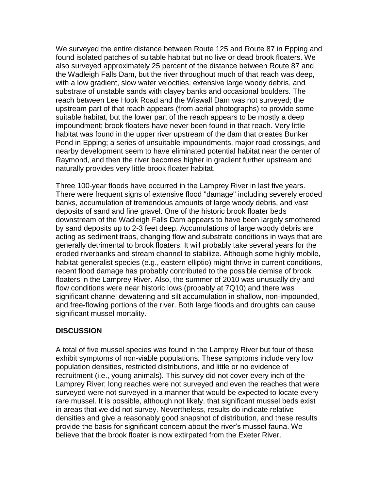We surveyed the entire distance between Route 125 and Route 87 in Epping and found isolated patches of suitable habitat but no live or dead brook floaters. We also surveyed approximately 25 percent of the distance between Route 87 and the Wadleigh Falls Dam, but the river throughout much of that reach was deep, with a low gradient, slow water velocities, extensive large woody debris, and substrate of unstable sands with clayey banks and occasional boulders. The reach between Lee Hook Road and the Wiswall Dam was not surveyed; the upstream part of that reach appears (from aerial photographs) to provide some suitable habitat, but the lower part of the reach appears to be mostly a deep impoundment; brook floaters have never been found in that reach. Very little habitat was found in the upper river upstream of the dam that creates Bunker Pond in Epping; a series of unsuitable impoundments, major road crossings, and nearby development seem to have eliminated potential habitat near the center of Raymond, and then the river becomes higher in gradient further upstream and naturally provides very little brook floater habitat.

Three 100-year floods have occurred in the Lamprey River in last five years. There were frequent signs of extensive flood "damage" including severely eroded banks, accumulation of tremendous amounts of large woody debris, and vast deposits of sand and fine gravel. One of the historic brook floater beds downstream of the Wadleigh Falls Dam appears to have been largely smothered by sand deposits up to 2-3 feet deep. Accumulations of large woody debris are acting as sediment traps, changing flow and substrate conditions in ways that are generally detrimental to brook floaters. It will probably take several years for the eroded riverbanks and stream channel to stabilize. Although some highly mobile, habitat-generalist species (e.g., eastern elliptio) might thrive in current conditions, recent flood damage has probably contributed to the possible demise of brook floaters in the Lamprey River. Also, the summer of 2010 was unusually dry and flow conditions were near historic lows (probably at 7Q10) and there was significant channel dewatering and silt accumulation in shallow, non-impounded, and free-flowing portions of the river. Both large floods and droughts can cause significant mussel mortality.

#### **DISCUSSION**

A total of five mussel species was found in the Lamprey River but four of these exhibit symptoms of non-viable populations. These symptoms include very low population densities, restricted distributions, and little or no evidence of recruitment (i.e., young animals). This survey did not cover every inch of the Lamprey River; long reaches were not surveyed and even the reaches that were surveyed were not surveyed in a manner that would be expected to locate every rare mussel. It is possible, although not likely, that significant mussel beds exist in areas that we did not survey. Nevertheless, results do indicate relative densities and give a reasonably good snapshot of distribution, and these results provide the basis for significant concern about the river's mussel fauna. We believe that the brook floater is now extirpated from the Exeter River.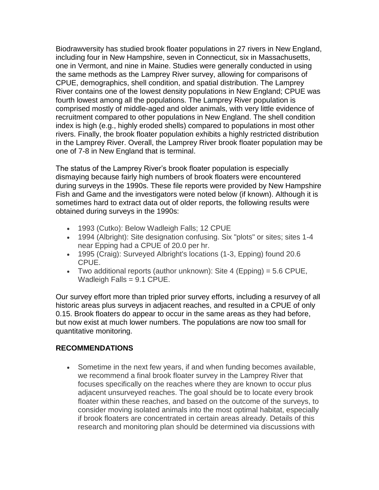Biodrawversity has studied brook floater populations in 27 rivers in New England, including four in New Hampshire, seven in Connecticut, six in Massachusetts, one in Vermont, and nine in Maine. Studies were generally conducted in using the same methods as the Lamprey River survey, allowing for comparisons of CPUE, demographics, shell condition, and spatial distribution. The Lamprey River contains one of the lowest density populations in New England; CPUE was fourth lowest among all the populations. The Lamprey River population is comprised mostly of middle-aged and older animals, with very little evidence of recruitment compared to other populations in New England. The shell condition index is high (e.g., highly eroded shells) compared to populations in most other rivers. Finally, the brook floater population exhibits a highly restricted distribution in the Lamprey River. Overall, the Lamprey River brook floater population may be one of 7-8 in New England that is terminal.

The status of the Lamprey River's brook floater population is especially dismaying because fairly high numbers of brook floaters were encountered during surveys in the 1990s. These file reports were provided by New Hampshire Fish and Game and the investigators were noted below (if known). Although it is sometimes hard to extract data out of older reports, the following results were obtained during surveys in the 1990s:

- 1993 (Cutko): Below Wadleigh Falls; 12 CPUE
- 1994 (Albright): Site designation confusing. Six "plots" or sites; sites 1-4 near Epping had a CPUE of 20.0 per hr.
- 1995 (Craig): Surveyed Albright's locations (1-3, Epping) found 20.6 CPUE.
- Two additional reports (author unknown): Site 4 (Epping)  $=$  5.6 CPUE, Wadleigh Falls = 9.1 CPUE.

Our survey effort more than tripled prior survey efforts, including a resurvey of all historic areas plus surveys in adjacent reaches, and resulted in a CPUE of only 0.15. Brook floaters do appear to occur in the same areas as they had before, but now exist at much lower numbers. The populations are now too small for quantitative monitoring.

### **RECOMMENDATIONS**

• Sometime in the next few years, if and when funding becomes available, we recommend a final brook floater survey in the Lamprey River that focuses specifically on the reaches where they are known to occur plus adjacent unsurveyed reaches. The goal should be to locate every brook floater within these reaches, and based on the outcome of the surveys, to consider moving isolated animals into the most optimal habitat, especially if brook floaters are concentrated in certain areas already. Details of this research and monitoring plan should be determined via discussions with